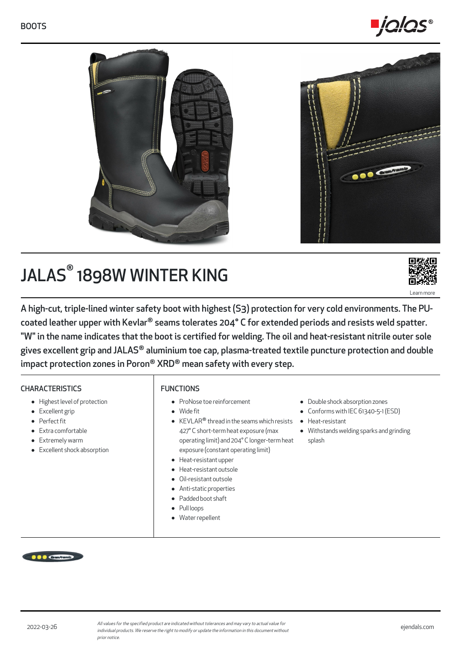

**000 Com** 



# JALAS<sup>®</sup> 1898W WINTER KING



A high-cut, triple-lined winter safety boot with highest (S3) protection for very cold environments. The PUcoated leather upper with Kevlar® seams tolerates 204° C for extended periods and resists weld spatter. "W" in the name indicates that the boot is certified for welding. The oil and heat-resistant nitrile outer sole gives excellent grip and JALAS® aluminium toe cap, plasma-treated textile puncture protection and double  $\,$ impact protection zones in Poron® XRD® mean safety with every step.

# **CHARACTERISTICS**

- Highest level of protection
- Excellent grip
- Perfect fit
- Extra comfortable
- Extremely warm
- Excellent shock absorption

# FUNCTIONS

- ProNose toe reinforcement
- Wide fit
- $\mathsf{KEYLAR}^\circledast$  thread in the seams which resists 427° C short-term heat exposure (max operating limit) and 204° C longer-term heat exposure (constant operating limit)
- Heat-resistant upper
- Heat-resistant outsole
- Oil-resistant outsole
- Anti-static properties
- Padded boot shaft
- Pull loops  $\bullet$
- Water repellent
- Double shock absorption zones
- Conforms with IEC 61340-5-1 (ESD)
- $\bullet$ Heat-resistant
- Withstands welding sparks and grinding splash